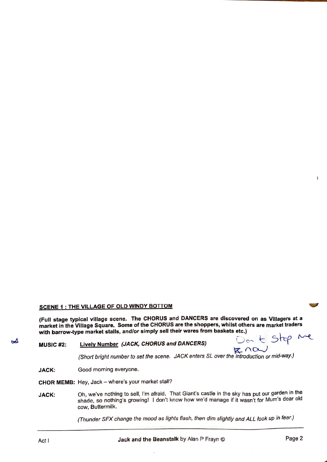## **SCENE 1** : **THE VILLAGE OF OLD WINDY BOTTOM**

**(Full stage typical village scene. The CHORUS and DANCERS are discovered on as Villagers at a market in the Village Square. Some of the CHORUS are the shoppers, whilst others are market traders with barrow-type market stalls, and/or simply sell their wares from baskets etc.)** 

## **MUSIC #2:** Lively Number (JACK, CHORUS and DANCERS)

 $- +$  stop  $^{\prime\prime}$  $R \cap \alpha$ 

(Short bright number to set the scene. JACK enters SL over the introduction or mid-way.)

JACK: Good morning everyone.

**CHOR MEMB:** Hey, Jack - where's your market stall?

**JACK:**  Oh, we've nothing to sell, I'm afraid. That Giant's castle in the sky has put our garden in the shade, so nothing's growing! I don't know how we'd manage if it wasn't for Mum's dear old cow, Buttermilk.

(Thunder SFX change the mood as lights flash, then dim slightly and ALL took up in fear.)

 $\Delta$ 

¥